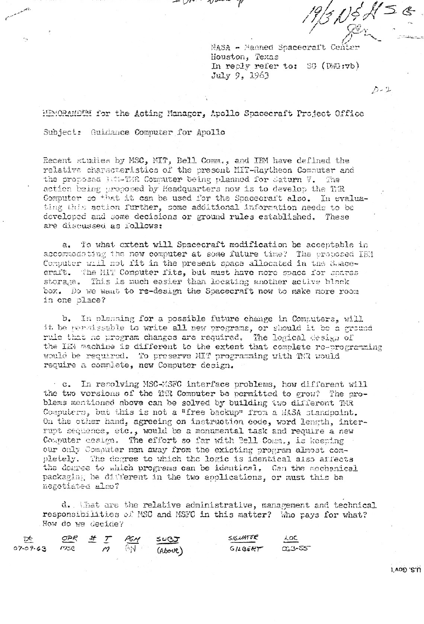$\frac{19}{3}$ NEH SE

 $D - 2$ 

NASA - Manned Spacecraft Cen Houston, Texas In reply refer to: SG (DWG:vb) July 9. 1963

HEMORANDIM for the Acting Manager, Apollo Spacecraft Project Office Subject: Guidance Computer for Apollo

Recent studies by MSC, MIT, Bell Comm., and IFM have defined the relative characteristics of the present MIT-Raytheon Computer and the proposed litt-TMR Computer being planned for Saturn V. The action being proposed by Headquarters now is to develop the TiR Computer so that it can be used for the Spacecraft also. In evaluating this action further, some additional information needs to be developed and some decisions or ground rules established. These are discussed as follows:

a. To what extent will Spacecraft modification be acceptable in accommodoting the new computer at some future time? The proposed IBM Computer will not iit in the present space allocated in the Suacecraft. The MIT Computer fits, but must have more space for spares storage. This is much easier than locating another active black box. Do we want to re-design the Spacecraft now to make more room in one place?

b. In planning for a possible future change in Computers, will it be permissable to write all new programs, or should it be a ground rule that no program changes are required. The logical design of the IEM machine is different to the extent that complete re-programming would be required. To preserve MIT programming with TMR would require a complete, new Computer design.

c. In recolving MSC-MSFC interface problems, how different will the two versions of the THR Computer be permitted to grow? The problems mentioned above can be solved by building two different TMR Computers, but this is not a "free backup" from a MASA standpoint. On the other hand, agreeing on instruction code, word length, interrupt sequence, etc., would be a monumental task and require a new Computer cesign. The effort so far with Bell Comm., is keeping our only Computer man away from the existing program almost completely. The degree to which the logic is identical also affects the degree to which programs can be identical. Can the mechanical packaging be different in the two applications, or must this be negotiated also?

d. That are the relative administrative, management and technical responsibilities of MSC and MSFC in this matter? Who pays for what? How do we decide?

| ጅ              |     |        |     | OPR <sup>#</sup> I PGM SUBJ | SIGNATOR | LOC        |
|----------------|-----|--------|-----|-----------------------------|----------|------------|
| $07 - 09 - 63$ | msc | $\eta$ | GN. | (ALOU)                      | GREERT   | $0.3 - 55$ |

1'VOD .C.U